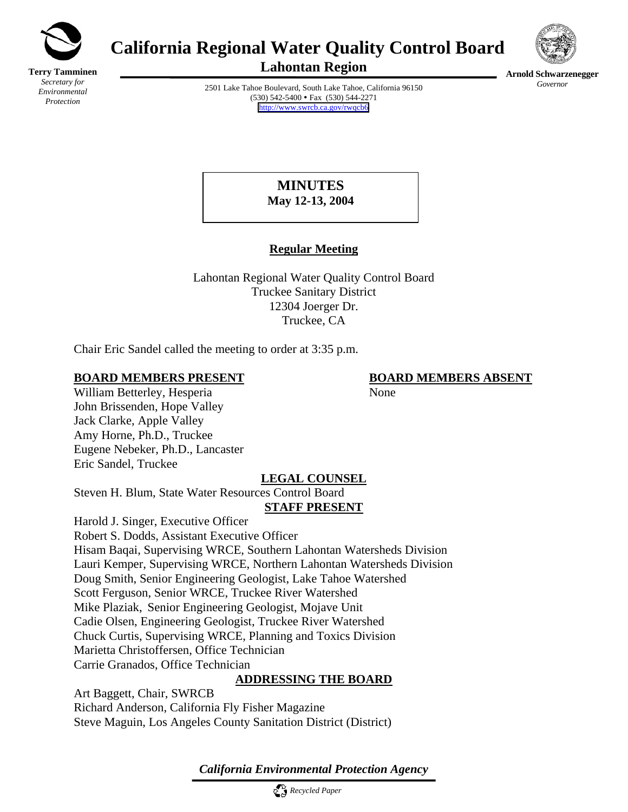

**Terry Tamminen** *Secretary for Environmental Protection*

# **California Regional Water Quality Control Board**





**Lahontan Region** 

2501 Lake Tahoe Boulevard, South Lake Tahoe, California 96150  $(530)$  542-5400 • Fax  $(530)$  544-2271 <http://www.swrcb.ca.gov/rwqcb6>

**Arnold Schwarzenegger** *Governor* 

# **MINUTES May 12-13, 2004**

# **Regular Meeting**

Lahontan Regional Water Quality Control Board Truckee Sanitary District 12304 Joerger Dr. Truckee, CA

Chair Eric Sandel called the meeting to order at 3:35 p.m.

# **BOARD MEMBERS PRESENT BOARD MEMBERS ABSENT**

William Betterley, Hesperia None John Brissenden, Hope Valley Jack Clarke, Apple Valley Amy Horne, Ph.D., Truckee Eugene Nebeker, Ph.D., Lancaster Eric Sandel, Truckee

# **LEGAL COUNSEL**

Steven H. Blum, State Water Resources Control Board

# **STAFF PRESENT**

Harold J. Singer, Executive Officer Robert S. Dodds, Assistant Executive Officer Hisam Baqai, Supervising WRCE, Southern Lahontan Watersheds Division Lauri Kemper, Supervising WRCE, Northern Lahontan Watersheds Division Doug Smith, Senior Engineering Geologist, Lake Tahoe Watershed Scott Ferguson, Senior WRCE, Truckee River Watershed Mike Plaziak, Senior Engineering Geologist, Mojave Unit Cadie Olsen, Engineering Geologist, Truckee River Watershed Chuck Curtis, Supervising WRCE, Planning and Toxics Division Marietta Christoffersen, Office Technician Carrie Granados, Office Technician

# **ADDRESSING THE BOARD**

Art Baggett, Chair, SWRCB Richard Anderson, California Fly Fisher Magazine Steve Maguin, Los Angeles County Sanitation District (District)

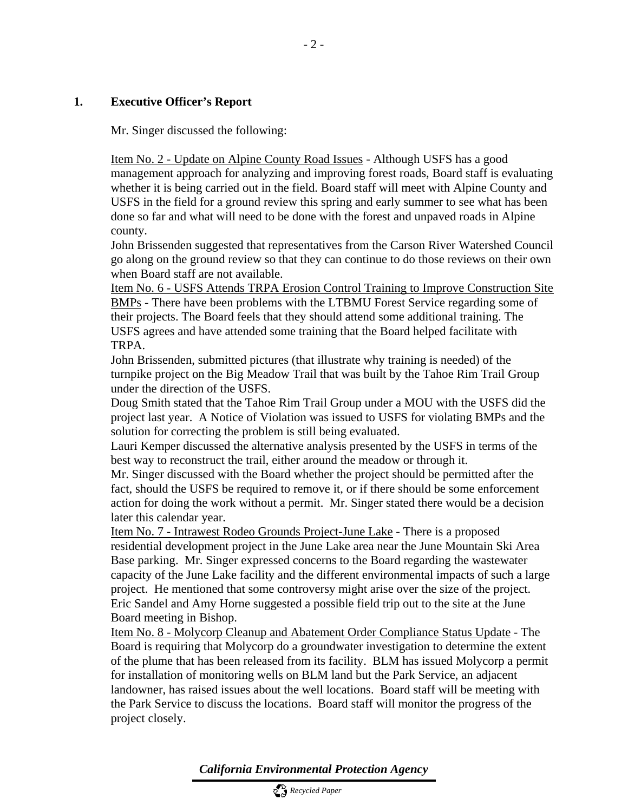#### **1. Executive Officer's Report**

Mr. Singer discussed the following:

Item No. 2 - Update on Alpine County Road Issues - Although USFS has a good management approach for analyzing and improving forest roads, Board staff is evaluating whether it is being carried out in the field. Board staff will meet with Alpine County and USFS in the field for a ground review this spring and early summer to see what has been done so far and what will need to be done with the forest and unpaved roads in Alpine county.

John Brissenden suggested that representatives from the Carson River Watershed Council go along on the ground review so that they can continue to do those reviews on their own when Board staff are not available.

Item No. 6 - USFS Attends TRPA Erosion Control Training to Improve Construction Site BMPs - There have been problems with the LTBMU Forest Service regarding some of their projects. The Board feels that they should attend some additional training. The USFS agrees and have attended some training that the Board helped facilitate with TRPA.

John Brissenden, submitted pictures (that illustrate why training is needed) of the turnpike project on the Big Meadow Trail that was built by the Tahoe Rim Trail Group under the direction of the USFS.

Doug Smith stated that the Tahoe Rim Trail Group under a MOU with the USFS did the project last year. A Notice of Violation was issued to USFS for violating BMPs and the solution for correcting the problem is still being evaluated.

Lauri Kemper discussed the alternative analysis presented by the USFS in terms of the best way to reconstruct the trail, either around the meadow or through it.

Mr. Singer discussed with the Board whether the project should be permitted after the fact, should the USFS be required to remove it, or if there should be some enforcement action for doing the work without a permit. Mr. Singer stated there would be a decision later this calendar year.

Item No. 7 - Intrawest Rodeo Grounds Project-June Lake - There is a proposed residential development project in the June Lake area near the June Mountain Ski Area Base parking. Mr. Singer expressed concerns to the Board regarding the wastewater capacity of the June Lake facility and the different environmental impacts of such a large project. He mentioned that some controversy might arise over the size of the project. Eric Sandel and Amy Horne suggested a possible field trip out to the site at the June Board meeting in Bishop.

Item No. 8 - Molycorp Cleanup and Abatement Order Compliance Status Update - The Board is requiring that Molycorp do a groundwater investigation to determine the extent of the plume that has been released from its facility. BLM has issued Molycorp a permit for installation of monitoring wells on BLM land but the Park Service, an adjacent landowner, has raised issues about the well locations. Board staff will be meeting with the Park Service to discuss the locations. Board staff will monitor the progress of the project closely.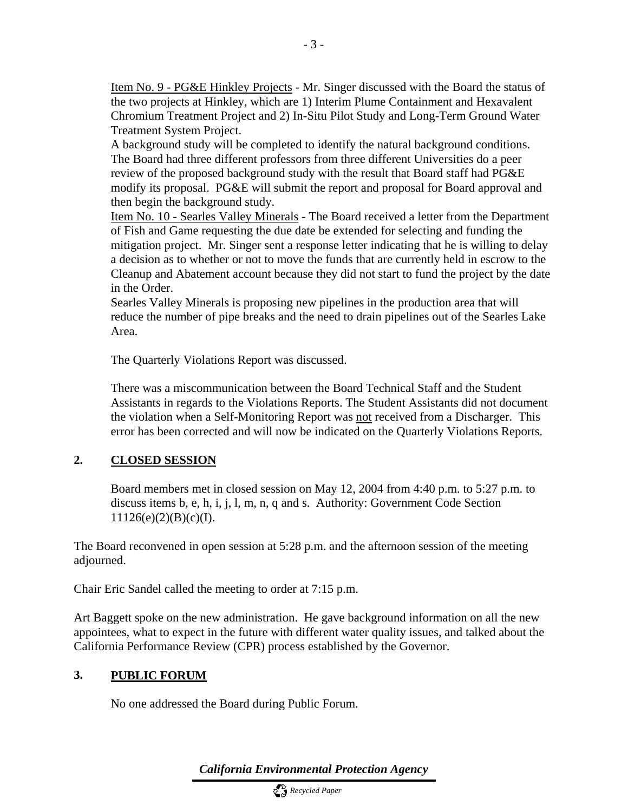Item No. 9 - PG&E Hinkley Projects - Mr. Singer discussed with the Board the status of the two projects at Hinkley, which are 1) Interim Plume Containment and Hexavalent Chromium Treatment Project and 2) In-Situ Pilot Study and Long-Term Ground Water Treatment System Project.

A background study will be completed to identify the natural background conditions. The Board had three different professors from three different Universities do a peer review of the proposed background study with the result that Board staff had PG&E modify its proposal. PG&E will submit the report and proposal for Board approval and then begin the background study.

Item No. 10 - Searles Valley Minerals - The Board received a letter from the Department of Fish and Game requesting the due date be extended for selecting and funding the mitigation project. Mr. Singer sent a response letter indicating that he is willing to delay a decision as to whether or not to move the funds that are currently held in escrow to the Cleanup and Abatement account because they did not start to fund the project by the date in the Order.

Searles Valley Minerals is proposing new pipelines in the production area that will reduce the number of pipe breaks and the need to drain pipelines out of the Searles Lake Area.

The Quarterly Violations Report was discussed.

There was a miscommunication between the Board Technical Staff and the Student Assistants in regards to the Violations Reports. The Student Assistants did not document the violation when a Self-Monitoring Report was not received from a Discharger. This error has been corrected and will now be indicated on the Quarterly Violations Reports.

# **2. CLOSED SESSION**

Board members met in closed session on May 12, 2004 from 4:40 p.m. to 5:27 p.m. to discuss items b, e, h, i, j, l, m, n, q and s. Authority: Government Code Section  $11126(e)(2)(B)(c)(I).$ 

The Board reconvened in open session at 5:28 p.m. and the afternoon session of the meeting adjourned.

Chair Eric Sandel called the meeting to order at 7:15 p.m.

Art Baggett spoke on the new administration. He gave background information on all the new appointees, what to expect in the future with different water quality issues, and talked about the California Performance Review (CPR) process established by the Governor.

### **3. PUBLIC FORUM**

No one addressed the Board during Public Forum.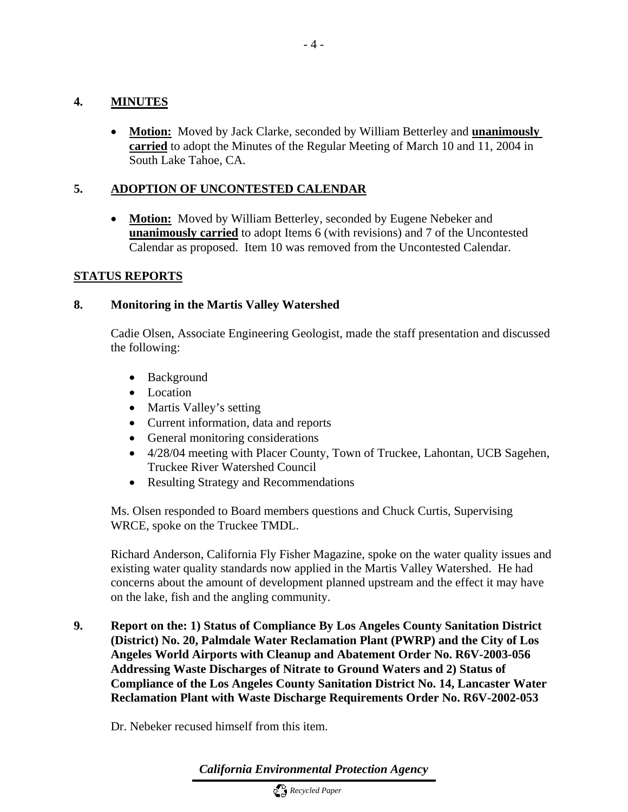# **4. MINUTES**

• **Motion:** Moved by Jack Clarke, seconded by William Betterley and **unanimously carried** to adopt the Minutes of the Regular Meeting of March 10 and 11, 2004 in South Lake Tahoe, CA.

# **5. ADOPTION OF UNCONTESTED CALENDAR**

• **Motion:** Moved by William Betterley, seconded by Eugene Nebeker and **unanimously carried** to adopt Items 6 (with revisions) and 7 of the Uncontested Calendar as proposed. Item 10 was removed from the Uncontested Calendar.

# **STATUS REPORTS**

# **8. Monitoring in the Martis Valley Watershed**

Cadie Olsen, Associate Engineering Geologist, made the staff presentation and discussed the following:

- Background
- Location
- Martis Valley's setting
- Current information, data and reports
- General monitoring considerations
- 4/28/04 meeting with Placer County, Town of Truckee, Lahontan, UCB Sagehen, Truckee River Watershed Council
- Resulting Strategy and Recommendations

Ms. Olsen responded to Board members questions and Chuck Curtis, Supervising WRCE, spoke on the Truckee TMDL.

Richard Anderson, California Fly Fisher Magazine, spoke on the water quality issues and existing water quality standards now applied in the Martis Valley Watershed. He had concerns about the amount of development planned upstream and the effect it may have on the lake, fish and the angling community.

**9. Report on the: 1) Status of Compliance By Los Angeles County Sanitation District (District) No. 20, Palmdale Water Reclamation Plant (PWRP) and the City of Los Angeles World Airports with Cleanup and Abatement Order No. R6V-2003-056 Addressing Waste Discharges of Nitrate to Ground Waters and 2) Status of Compliance of the Los Angeles County Sanitation District No. 14, Lancaster Water Reclamation Plant with Waste Discharge Requirements Order No. R6V-2002-053** 

Dr. Nebeker recused himself from this item.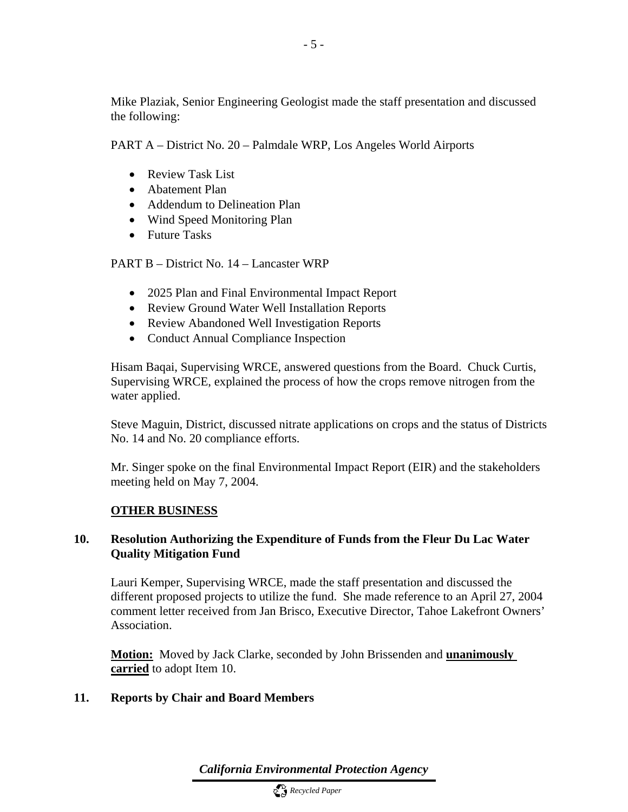Mike Plaziak, Senior Engineering Geologist made the staff presentation and discussed the following:

PART A – District No. 20 – Palmdale WRP, Los Angeles World Airports

- Review Task List
- Abatement Plan
- Addendum to Delineation Plan
- Wind Speed Monitoring Plan
- Future Tasks

PART B – District No. 14 – Lancaster WRP

- 2025 Plan and Final Environmental Impact Report
- Review Ground Water Well Installation Reports
- Review Abandoned Well Investigation Reports
- Conduct Annual Compliance Inspection

Hisam Baqai, Supervising WRCE, answered questions from the Board. Chuck Curtis, Supervising WRCE, explained the process of how the crops remove nitrogen from the water applied.

Steve Maguin, District, discussed nitrate applications on crops and the status of Districts No. 14 and No. 20 compliance efforts.

Mr. Singer spoke on the final Environmental Impact Report (EIR) and the stakeholders meeting held on May 7, 2004.

# **OTHER BUSINESS**

# **10. Resolution Authorizing the Expenditure of Funds from the Fleur Du Lac Water Quality Mitigation Fund**

Lauri Kemper, Supervising WRCE, made the staff presentation and discussed the different proposed projects to utilize the fund. She made reference to an April 27, 2004 comment letter received from Jan Brisco, Executive Director, Tahoe Lakefront Owners' Association.

**Motion:** Moved by Jack Clarke, seconded by John Brissenden and **unanimously carried** to adopt Item 10.

# **11. Reports by Chair and Board Members**